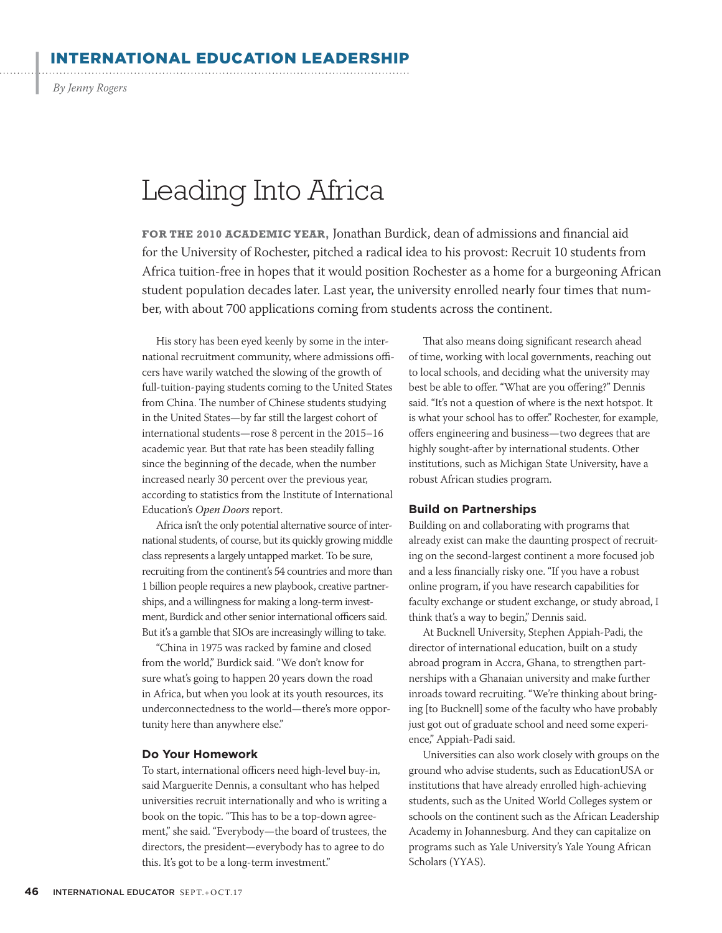RNATIONAL EDUCATION LEADERSHIP

By Jenny Rogers

 $\cdot$ 

# Leading Into Africa

**FOR THE 2010 ACADEMIC YEAR,** Jonathan Burdick, dean of admissions and financial aid for the University of Rochester, pitched a radical idea to his provost: Recruit 10 students from Africa tuition-free in hopes that it would position Rochester as a home for a burgeoning African student population decades later. Last year, the university enrolled nearly four times that number, with about 700 applications coming from students across the continent.

His story has been eyed keenly by some in the international recruitment community, where admissions officers have warily watched the slowing of the growth of full-tuition-paying students coming to the United States from China. The number of Chinese students studying in the United States—by far still the largest cohort of international students—rose 8 percent in the 2015–16 academic year. But that rate has been steadily falling since the beginning of the decade, when the number increased nearly 30 percent over the previous year, according to statistics from the Institute of International Education's Open Doors report.

Africa isn't the only potential alternative source of international students, of course, but its quickly growing middle class represents a largely untapped market. To be sure, recruiting from the continent's 54 countries and more than 1 billion people requires a new playbook, creative partnerships, and a willingness for making a long-term investment, Burdick and other senior international officers said. But it's a gamble that SIOs are increasingly willing to take.

"China in 1975 was racked by famine and closed from the world," Burdick said. "We don't know for sure what's going to happen 20 years down the road in Africa, but when you look at its youth resources, its underconnectedness to the world—there's more opportunity here than anywhere else."

#### **Do Your Homework**

To start, international officers need high-level buy-in, said Marguerite Dennis, a consultant who has helped universities recruit internationally and who is writing a book on the topic. "This has to be a top-down agreement," she said. "Everybody—the board of trustees, the directors, the president—everybody has to agree to do this. It's got to be a long-term investment."

That also means doing significant research ahead of time, working with local governments, reaching out to local schools, and deciding what the university may best be able to offer. "What are you offering?" Dennis said. "It's not a question of where is the next hotspot. It is what your school has to offer." Rochester, for example, offers engineering and business—two degrees that are highly sought-after by international students. Other institutions, such as Michigan State University, have a robust African studies program.

### **Build on Partnerships**

Building on and collaborating with programs that already exist can make the daunting prospect of recruiting on the second-largest continent a more focused job and a less financially risky one. "If you have a robust online program, if you have research capabilities for faculty exchange or student exchange, or study abroad, I think that's a way to begin," Dennis said.

At Bucknell University, Stephen Appiah-Padi, the director of international education, built on a study abroad program in Accra, Ghana, to strengthen partnerships with a Ghanaian university and make further inroads toward recruiting. "We're thinking about bringing [to Bucknell] some of the faculty who have probably just got out of graduate school and need some experience," Appiah-Padi said.

Universities can also work closely with groups on the ground who advise students, such as EducationUSA or institutions that have already enrolled high-achieving students, such as the United World Colleges system or schools on the continent such as the African Leadership Academy in Johannesburg. And they can capitalize on programs such as Yale University's Yale Young African Scholars (YYAS).